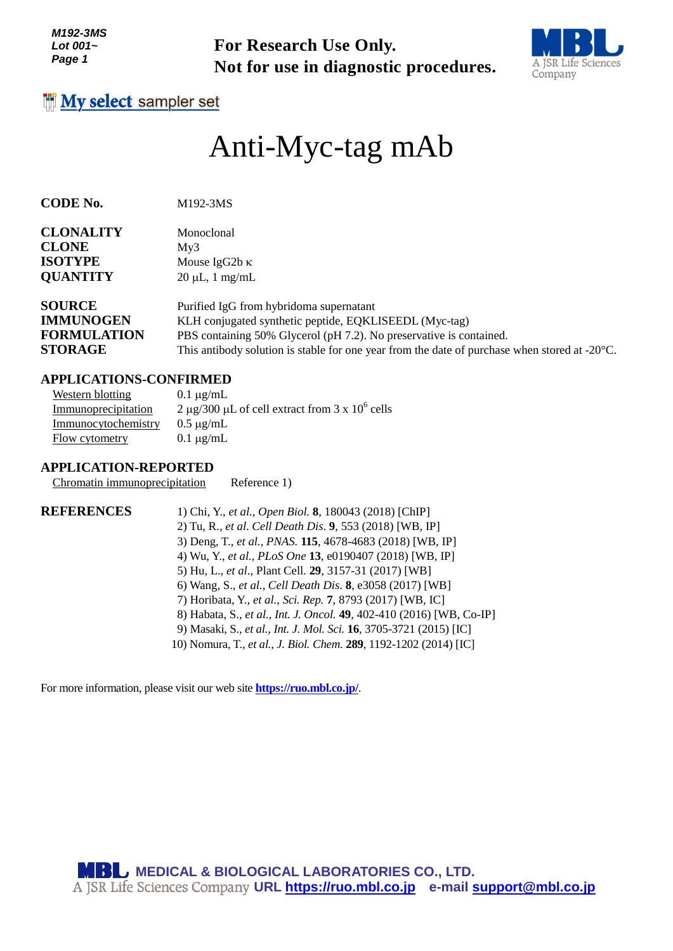**Not for use in diagnostic procedures.**



# Anti-Myc-tag mAb

**CODE No.** M192-3MS

| <b>CLONALITY</b> | Monoclonal           |
|------------------|----------------------|
| <b>CLONE</b>     | Mv3                  |
| <b>ISOTYPE</b>   | Mouse IgG2b $\kappa$ |
| <b>QUANTITY</b>  | $20 \mu L$ , 1 mg/mL |

| <b>SOURCE</b>      | Purified IgG from hybridoma supernatant                                                                 |
|--------------------|---------------------------------------------------------------------------------------------------------|
| <b>IMMUNOGEN</b>   | KLH conjugated synthetic peptide, EQKLISEEDL (Myc-tag)                                                  |
| <b>FORMULATION</b> | PBS containing 50% Glycerol (pH 7.2). No preservative is contained.                                     |
| <b>STORAGE</b>     | This antibody solution is stable for one year from the date of purchase when stored at $-20^{\circ}$ C. |

#### **APPLICATIONS-CONFIRMED**

| Western blotting    | $0.1 \mu$ g/mL                                    |
|---------------------|---------------------------------------------------|
| Immunoprecipitation | 2 µg/300 µL of cell extract from 3 x $10^6$ cells |
| Immunocytochemistry | $0.5 \mu$ g/mL                                    |
| Flow cytometry      | $0.1 \mu g/mL$                                    |

#### **APPLICATION-REPORTED**

Chromatin immunoprecipitation Reference 1)

For Research Use Only.<br>
Not for use in diagnostic procedures.<br> **Eact sampler set**<br> **Antii - MyC-tag mAb**<br>
Managedonic support<br> **TV**<br>
Managedonic support<br> **TV**<br> **Managedonic support and Managedonic Support<br>
<b>EVALUATION**<br> **E REFERENCES** 1) Chi, Y., *et al., Open Biol.* **8**, 180043 (2018) [ChIP] 2) Tu, R., *et al*. *Cell Death Dis*. **9**, 553 (2018) [WB, IP] 3) Deng, T., *et al., PNAS.* **115**, 4678-4683 (2018) [WB, IP] 4) Wu, Y., *et al., PLoS One* **13**, e0190407 (2018) [WB, IP] 5) Hu, L., *et al*., Plant Cell. **29**, 3157-31 (2017) [WB] 6) Wang, S., *et al., Cell Death Dis*. **8**, e3058 (2017) [WB] 7) Horibata, Y., *et al.*, *Sci. Rep.* **7**, 8793 (2017) [WB, IC] 8) Habata, S., *et al.*, *Int. J. Oncol.* **49**, 402-410 (2016) [WB, Co-IP] 9) Masaki, S., *et al., Int. J. Mol. Sci.* **16**, 3705-3721 (2015) [IC] 10) Nomura, T., *et al., J. Biol. Chem.* **289**, 1192-1202 (2014) [IC]

For more information, please visit our web site **<https://ruo.mbl.co.jp/>**.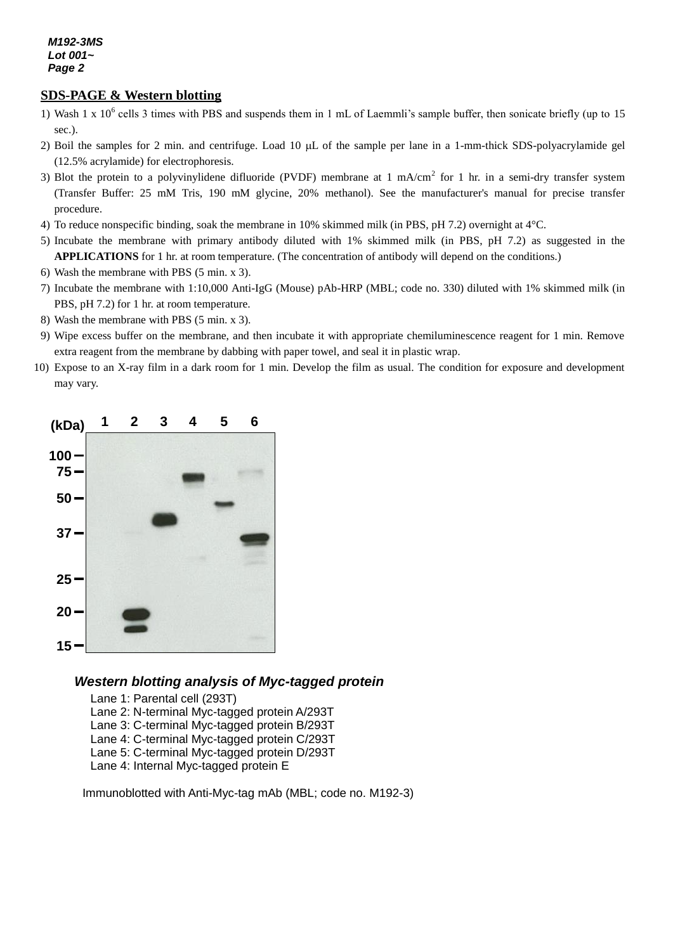## **SDS-PAGE & Western blotting**

- 1) Wash 1 x  $10^6$  cells 3 times with PBS and suspends them in 1 mL of Laemmli's sample buffer, then sonicate briefly (up to 15 sec.).
- 2) Boil the samples for 2 min. and centrifuge. Load 10  $\mu$ L of the sample per lane in a 1-mm-thick SDS-polyacrylamide gel (12.5% acrylamide) for electrophoresis.
- 3) Blot the protein to a polyvinylidene difluoride (PVDF) membrane at 1 mA/cm<sup>2</sup> for 1 hr. in a semi-dry transfer system (Transfer Buffer: 25 mM Tris, 190 mM glycine, 20% methanol). See the manufacturer's manual for precise transfer procedure.
- 4) To reduce nonspecific binding, soak the membrane in 10% skimmed milk (in PBS, pH 7.2) overnight at 4°C.
- 5) Incubate the membrane with primary antibody diluted with 1% skimmed milk (in PBS, pH 7.2) as suggested in the **APPLICATIONS** for 1 hr. at room temperature. (The concentration of antibody will depend on the conditions.)
- 6) Wash the membrane with PBS (5 min. x 3).
- 7) Incubate the membrane with 1:10,000 Anti-IgG (Mouse) pAb-HRP (MBL; code no. 330) diluted with 1% skimmed milk (in PBS, pH 7.2) for 1 hr. at room temperature.
- 8) Wash the membrane with PBS (5 min. x 3).
- 9) Wipe excess buffer on the membrane, and then incubate it with appropriate chemiluminescence reagent for 1 min. Remove extra reagent from the membrane by dabbing with paper towel, and seal it in plastic wrap.
- 10) Expose to an X-ray film in a dark room for 1 min. Develop the film as usual. The condition for exposure and development may vary.



# *Western blotting analysis of Myc-tagged protein*

Lane 1: Parental cell (293T) Lane 2: N-terminal Myc-tagged protein A/293T Lane 3: C-terminal Myc-tagged protein B/293T Lane 4: C-terminal Myc-tagged protein C/293T Lane 5: C-terminal Myc-tagged protein D/293T Lane 4: Internal Myc-tagged protein E

Immunoblotted with Anti-Myc-tag mAb (MBL; code no. M192-3)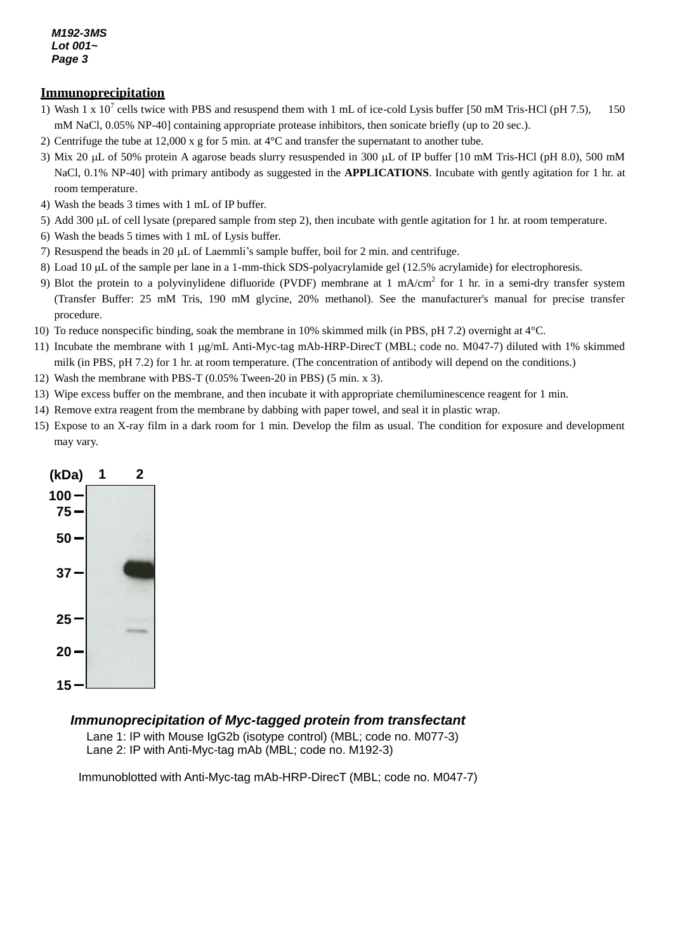#### **Immunoprecipitation**

- 1) Wash 1 x  $10^7$  cells twice with PBS and resuspend them with 1 mL of ice-cold Lysis buffer [50 mM Tris-HCl (pH 7.5), 150 mM NaCl, 0.05% NP-40] containing appropriate protease inhibitors, then sonicate briefly (up to 20 sec.).
- 2) Centrifuge the tube at 12,000 x g for 5 min. at 4°C and transfer the supernatant to another tube.
- 3) Mix 20  $\mu$ L of 50% protein A agarose beads slurry resuspended in 300  $\mu$ L of IP buffer [10 mM Tris-HCl (pH 8.0), 500 mM NaCl, 0.1% NP-40] with primary antibody as suggested in the **APPLICATIONS**. Incubate with gently agitation for 1 hr. at room temperature.
- 4) Wash the beads 3 times with 1 mL of IP buffer.
- 5) Add 300  $\mu$ L of cell lysate (prepared sample from step 2), then incubate with gentle agitation for 1 hr. at room temperature.
- 6) Wash the beads 5 times with 1 mL of Lysis buffer.
- 7) Resuspend the beads in 20  $\mu$ L of Laemmli's sample buffer, boil for 2 min. and centrifuge.
- 8) Load 10 µL of the sample per lane in a 1-mm-thick SDS-polyacrylamide gel (12.5% acrylamide) for electrophoresis.
- 9) Blot the protein to a polyvinylidene difluoride (PVDF) membrane at 1 mA/cm<sup>2</sup> for 1 hr. in a semi-dry transfer system (Transfer Buffer: 25 mM Tris, 190 mM glycine, 20% methanol). See the manufacturer's manual for precise transfer procedure.
- 10) To reduce nonspecific binding, soak the membrane in 10% skimmed milk (in PBS, pH 7.2) overnight at 4°C.
- 11) Incubate the membrane with 1 g/mL Anti-Myc-tag mAb-HRP-DirecT (MBL; code no. M047-7) diluted with 1% skimmed milk (in PBS, pH 7.2) for 1 hr. at room temperature. (The concentration of antibody will depend on the conditions.)
- 12) Wash the membrane with PBS-T (0.05% Tween-20 in PBS) (5 min. x 3).
- 13) Wipe excess buffer on the membrane, and then incubate it with appropriate chemiluminescence reagent for 1 min.
- 14) Remove extra reagent from the membrane by dabbing with paper towel, and seal it in plastic wrap.
- 15) Expose to an X-ray film in a dark room for 1 min. Develop the film as usual. The condition for exposure and development may vary.



### *Immunoprecipitation of Myc-tagged protein from transfectant*

Lane 1: IP with Mouse IgG2b (isotype control) (MBL; code no. M077-3) Lane 2: IP with Anti-Myc-tag mAb (MBL; code no. M192-3)

Immunoblotted with Anti-Myc-tag mAb-HRP-DirecT (MBL; code no. M047-7)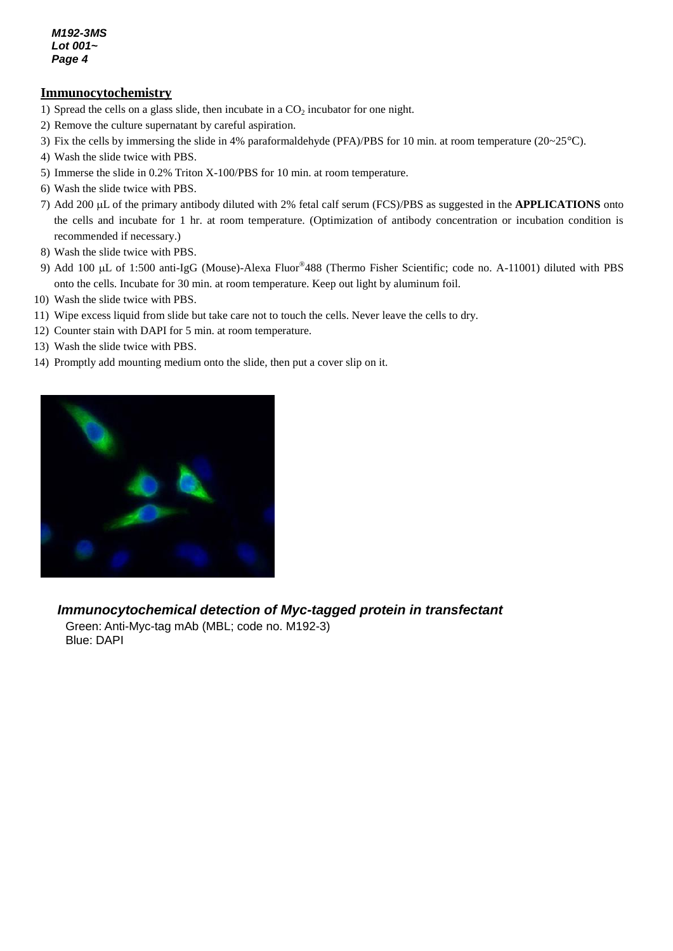#### **Immunocytochemistry**

- 1) Spread the cells on a glass slide, then incubate in a  $CO<sub>2</sub>$  incubator for one night.
- 2) Remove the culture supernatant by careful aspiration.
- 3) Fix the cells by immersing the slide in 4% paraformaldehyde (PFA)/PBS for 10 min. at room temperature (20~25°C).
- 4) Wash the slide twice with PBS.
- 5) Immerse the slide in 0.2% Triton X-100/PBS for 10 min. at room temperature.
- 6) Wash the slide twice with PBS.
- 7) Add 200 µL of the primary antibody diluted with 2% fetal calf serum (FCS)/PBS as suggested in the **APPLICATIONS** onto the cells and incubate for 1 hr. at room temperature. (Optimization of antibody concentration or incubation condition is recommended if necessary.)
- 8) Wash the slide twice with PBS.
- 9) Add 100 µL of 1:500 anti-IgG (Mouse)-Alexa Fluor®488 (Thermo Fisher Scientific; code no. A-11001) diluted with PBS onto the cells. Incubate for 30 min. at room temperature. Keep out light by aluminum foil.
- 10) Wash the slide twice with PBS.
- 11) Wipe excess liquid from slide but take care not to touch the cells. Never leave the cells to dry.
- 12) Counter stain with DAPI for 5 min. at room temperature.
- 13) Wash the slide twice with PBS.
- 14) Promptly add mounting medium onto the slide, then put a cover slip on it.



# *Immunocytochemical detection of Myc-tagged protein in transfectant*

Green: Anti-Myc-tag mAb (MBL; code no. M192-3) Blue: DAPI